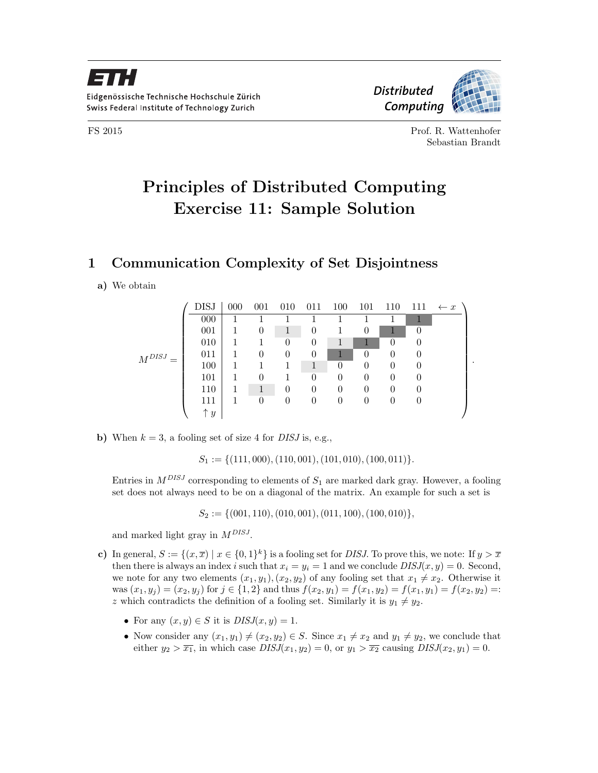

FS 2015 Prof. R. Wattenhofer Sebastian Brandt

.

## Principles of Distributed Computing Exercise 11: Sample Solution

## 1 Communication Complexity of Set Disjointness

## a) We obtain

|              | <b>DISJ</b>  | $000\,$ | 001            | 010            | 011      | 100      | 101      | 110              | 111              | $\leftarrow x$ |
|--------------|--------------|---------|----------------|----------------|----------|----------|----------|------------------|------------------|----------------|
| $M^{DISJ}$ . | 000          |         |                |                |          |          |          |                  |                  |                |
|              | 001          |         | 0              | 1              | $\theta$ |          | 0        |                  |                  |                |
|              | 010          |         |                | $\overline{0}$ | $\theta$ |          |          | 0                | $\left( \right)$ |                |
|              | 011          |         | 0              | 0              | $\theta$ |          | $\theta$ | 0                | $\theta$         |                |
|              | 100          |         |                |                | 1        | $\theta$ | 0        | 0                | $\left( \right)$ |                |
|              | 101          |         | 0              |                | 0        | 0        |          | $\left( \right)$ |                  |                |
|              | 110          |         |                | 0              | $\theta$ | $\Omega$ | $\theta$ | $\left( \right)$ |                  |                |
|              | 111          |         | $\overline{0}$ | 0              | $\theta$ | $\theta$ | 0        | 0                | $\theta$         |                |
|              | $\uparrow y$ |         |                |                |          |          |          |                  |                  |                |

b) When  $k = 3$ , a fooling set of size 4 for *DISJ* is, e.g.,

 $S_1 := \{(111, 000), (110, 001), (101, 010), (100, 011)\}.$ 

Entries in  $M^{DISJ}$  corresponding to elements of  $S_1$  are marked dark gray. However, a fooling set does not always need to be on a diagonal of the matrix. An example for such a set is

 $S_2 := \{(001, 110), (010, 001), (011, 100), (100, 010)\},\$ 

and marked light gray in  $M^{DISJ}$ .

- c) In general,  $S := \{(x, \overline{x}) \mid x \in \{0, 1\}^k\}$  is a fooling set for *DISJ*. To prove this, we note: If  $y > \overline{x}$ then there is always an index i such that  $x_i = y_i = 1$  and we conclude  $DISJ(x, y) = 0$ . Second, we note for any two elements  $(x_1, y_1), (x_2, y_2)$  of any fooling set that  $x_1 \neq x_2$ . Otherwise it was  $(x_1, y_j) = (x_2, y_j)$  for  $j \in \{1, 2\}$  and thus  $f(x_2, y_1) = f(x_1, y_2) = f(x_1, y_1) = f(x_2, y_2) =$ : z which contradicts the definition of a fooling set. Similarly it is  $y_1 \neq y_2$ .
	- For any  $(x, y) \in S$  it is  $DISJ(x, y) = 1$ .
	- Now consider any  $(x_1, y_1) \neq (x_2, y_2) \in S$ . Since  $x_1 \neq x_2$  and  $y_1 \neq y_2$ , we conclude that either  $y_2 > \overline{x_1}$ , in which case  $DISJ(x_1, y_2) = 0$ , or  $y_1 > \overline{x_2}$  causing  $DISJ(x_2, y_1) = 0$ .